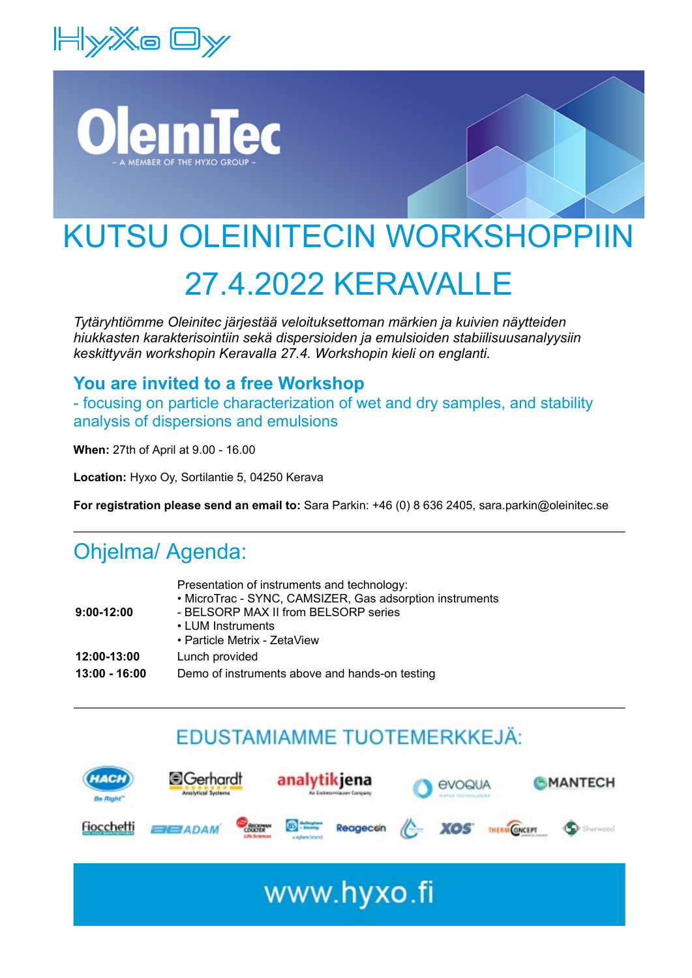





Nanoparticle Tracking Analysis (NTA) captures the Brownian motion of each particle in the video. Based on the different

### 27.4.2022 KERAVALLE UZZ NERAVA

*Tytäryhtiömme Oleinitec järjestää veloituksettoman märkien ja kuivien näytteiden hiukkasten karakterisointiin sekä dispersioiden ja emulsioiden stabiilisuusanalyysiin keskittyvän workshopin Keravalla 27.4. Workshopin kieli on englanti.*

## **You are invited to a free Workshop**

- focusing on particle characterization of wet and dry samples, and stability analysis of dispersions and emulsions

**When:** 27th of April at 9.00 - 16.00

**Location:** Hyxo Oy, Sortilantie 5, 04250 Kerava

**For registration please send an email to:** Sara Parkin: +46 (0) 8 636 2405, sara.parkin@oleinitec.se

size distribution.

# Ohjelma/ Agenda:

| $9:00-12:00$    | Presentation of instruments and technology:<br>• MicroTrac - SYNC, CAMSIZER, Gas adsorption instruments<br>- BELSORP MAX II from BELSORP series |
|-----------------|-------------------------------------------------------------------------------------------------------------------------------------------------|
|                 | • LUM Instruments<br>• Particle Metrix - ZetaView                                                                                               |
| 12:00-13:00     | Lunch provided                                                                                                                                  |
| $13:00 - 16:00$ | Demo of instruments above and hands-on testing                                                                                                  |

## Product info



wa fi

 $\mathbf{v}$